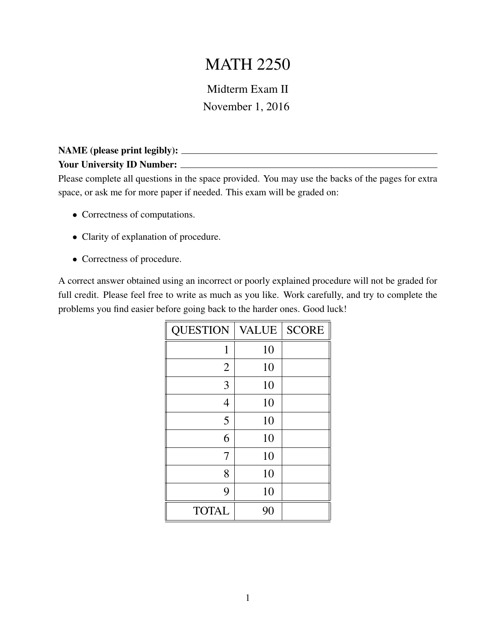# MATH 2250

### Midterm Exam II November 1, 2016

#### NAME (please print legibly): Your University ID Number:

Please complete all questions in the space provided. You may use the backs of the pages for extra space, or ask me for more paper if needed. This exam will be graded on:

- Correctness of computations.
- Clarity of explanation of procedure.
- Correctness of procedure.

A correct answer obtained using an incorrect or poorly explained procedure will not be graded for full credit. Please feel free to write as much as you like. Work carefully, and try to complete the problems you find easier before going back to the harder ones. Good luck!

| <b>QUESTION</b> | <b>VALUE</b> | <b>SCORE</b> |
|-----------------|--------------|--------------|
| 1               | 10           |              |
| $\overline{2}$  | 10           |              |
| 3               | 10           |              |
| $\overline{4}$  | 10           |              |
| 5               | 10           |              |
| 6               | 10           |              |
| 7               | 10           |              |
| 8               | 10           |              |
| 9               | 10           |              |
| <b>TOTAL</b>    | 90           |              |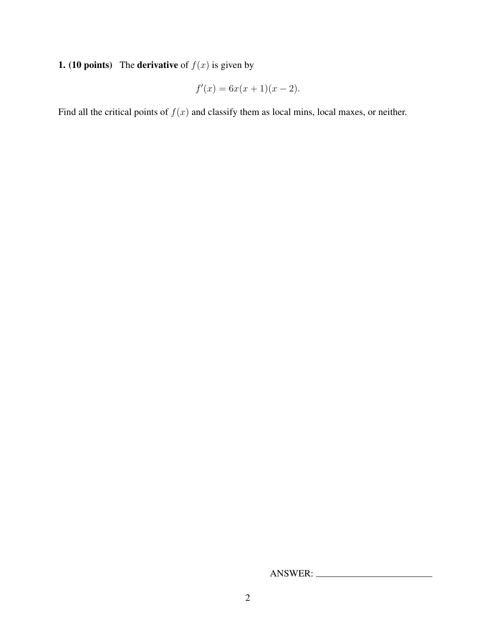### **1. (10 points)** The **derivative** of  $f(x)$  is given by

$$
f'(x) = 6x(x+1)(x-2).
$$

Find all the critical points of  $f(x)$  and classify them as local mins, local maxes, or neither.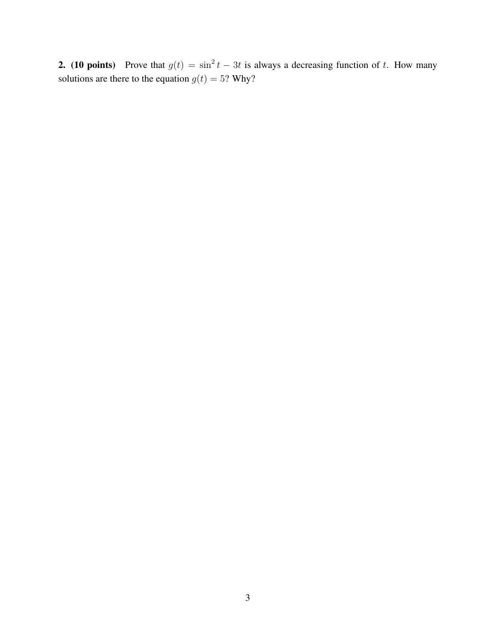**2.** (10 points) Prove that  $g(t) = \sin^2 t - 3t$  is always a decreasing function of t. How many solutions are there to the equation  $g(t) = 5$ ? Why?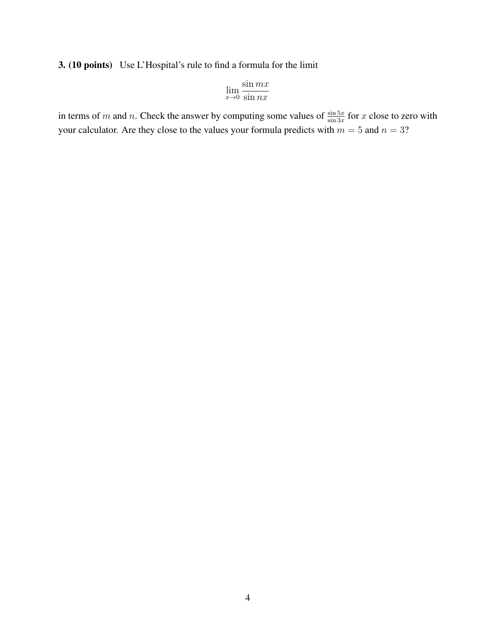#### 3. (10 points) Use L'Hospital's rule to find a formula for the limit

$$
\lim_{x \to 0} \frac{\sin mx}{\sin nx}
$$

in terms of m and n. Check the answer by computing some values of  $\frac{\sin 5x}{\sin 3x}$  for x close to zero with your calculator. Are they close to the values your formula predicts with  $m = 5$  and  $n = 3$ ?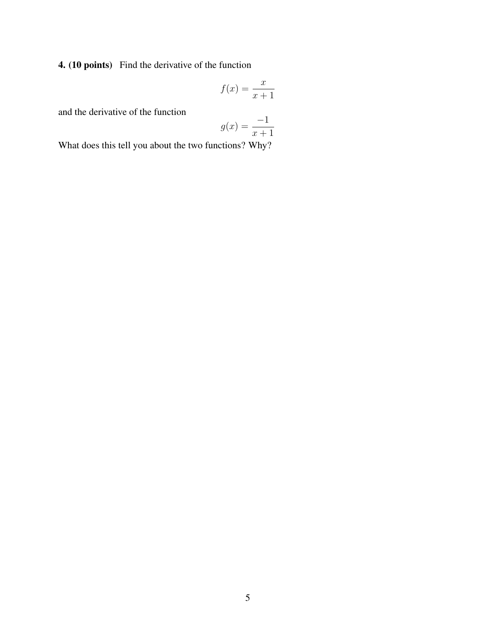4. (10 points) Find the derivative of the function

$$
f(x) = \frac{x}{x+1}
$$

and the derivative of the function

$$
g(x) = \frac{-1}{x+1}
$$

What does this tell you about the two functions? Why?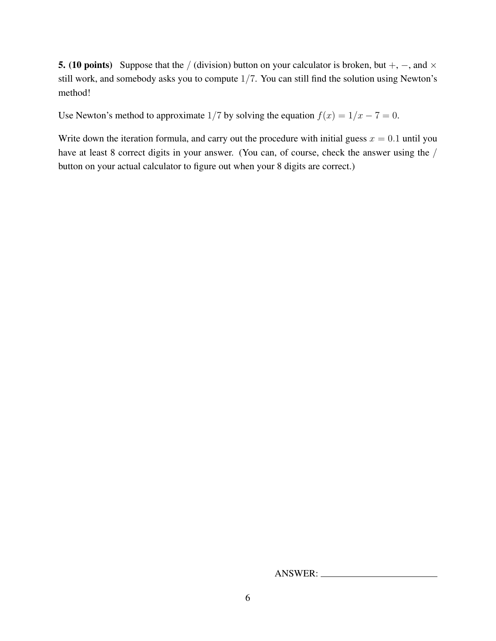**5.** (10 points) Suppose that the / (division) button on your calculator is broken, but +,  $-$ , and  $\times$ still work, and somebody asks you to compute 1/7. You can still find the solution using Newton's method!

Use Newton's method to approximate 1/7 by solving the equation  $f(x) = 1/x - 7 = 0$ .

Write down the iteration formula, and carry out the procedure with initial guess  $x = 0.1$  until you have at least 8 correct digits in your answer. (You can, of course, check the answer using the / button on your actual calculator to figure out when your 8 digits are correct.)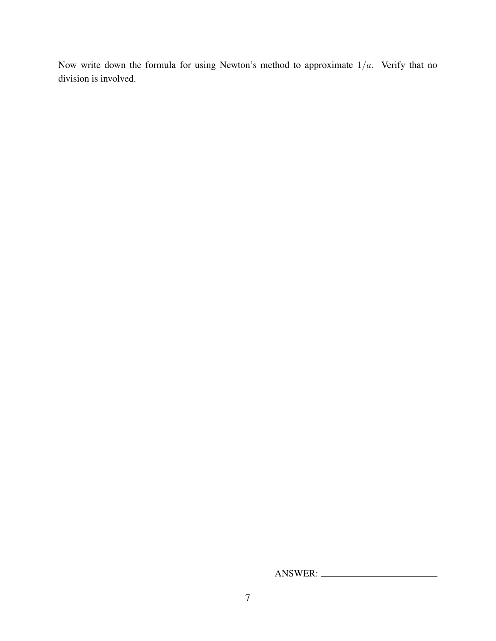Now write down the formula for using Newton's method to approximate  $1/a$ . Verify that no division is involved.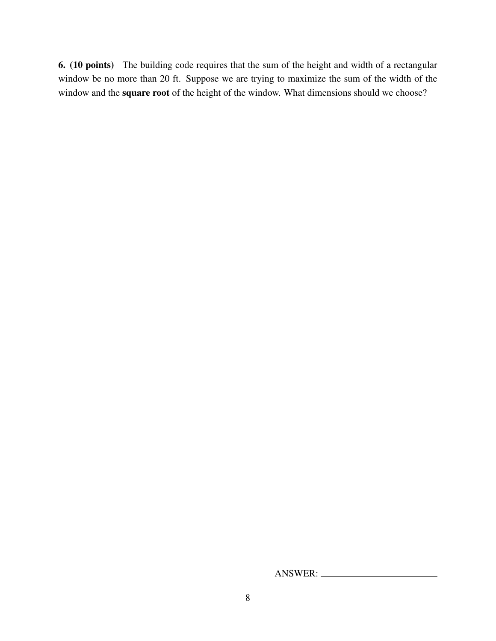6. (10 points) The building code requires that the sum of the height and width of a rectangular window be no more than 20 ft. Suppose we are trying to maximize the sum of the width of the window and the square root of the height of the window. What dimensions should we choose?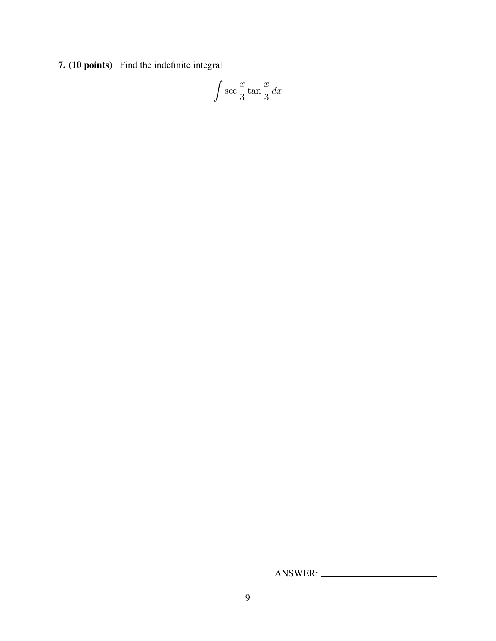7. (10 points) Find the indefinite integral

$$
\int \sec \frac{x}{3} \tan \frac{x}{3} \, dx
$$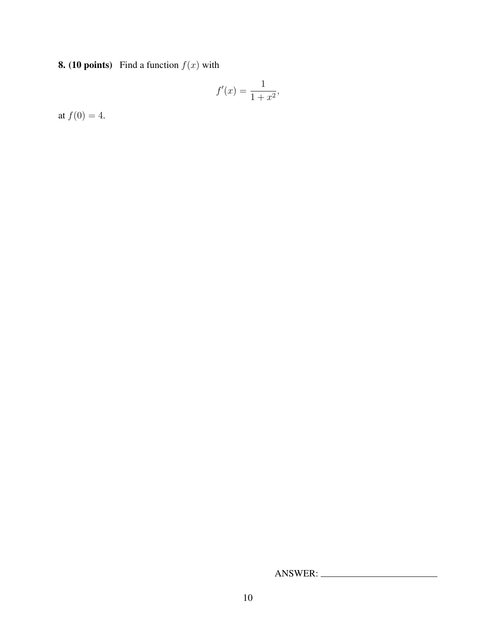## **8. (10 points)** Find a function  $f(x)$  with

$$
f'(x) = \frac{1}{1+x^2},
$$

at  $f(0) = 4$ .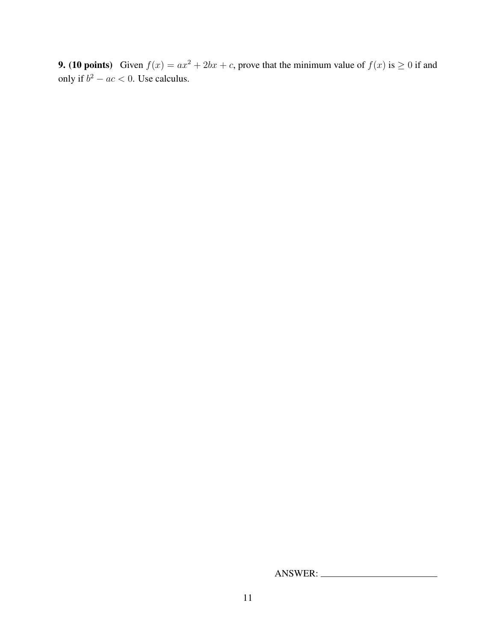9. (10 points) Given  $f(x) = ax^2 + 2bx + c$ , prove that the minimum value of  $f(x)$  is  $\geq 0$  if and only if  $b^2 - ac < 0$ . Use calculus.